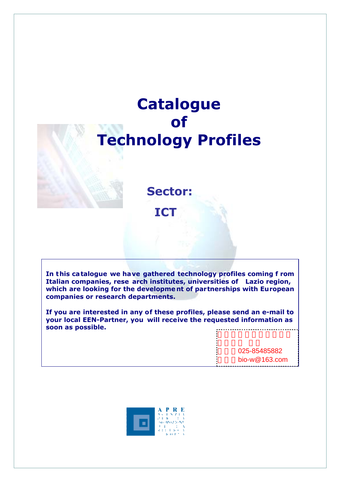# **Catalogue of Technology Profiles**

**Sector: ICT**

**In this ca talogue we have gathered technology profiles coming f rom Italian companies, rese arch institutes, universities of Lazio region, which are looking for the developme nt of partnerships with European companies or research departments.** 

**If you are interested in any of these profiles, please send an e-mail to your local EEN-Partner, you will receive the requested information as soon as possible.**  

> 025-85485882  $bio-w@163.com$

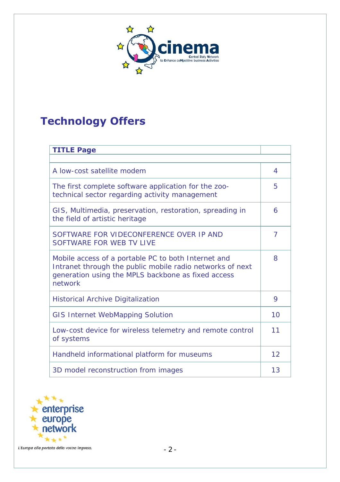

# **Technology Offers**

| <b>TITLE Page</b>                                                                                                                                                                 |                |  |
|-----------------------------------------------------------------------------------------------------------------------------------------------------------------------------------|----------------|--|
|                                                                                                                                                                                   |                |  |
| A low-cost satellite modem                                                                                                                                                        | 4              |  |
| The first complete software application for the zoo-<br>technical sector regarding activity management                                                                            | 5              |  |
| GIS, Multimedia, preservation, restoration, spreading in<br>the field of artistic heritage                                                                                        | 6              |  |
| SOFTWARE FOR VIDECONFERENCE OVER IP AND<br>SOFTWARE FOR WEB TV LIVE                                                                                                               | $\overline{7}$ |  |
| Mobile access of a portable PC to both Internet and<br>Intranet through the public mobile radio networks of next<br>generation using the MPLS backbone as fixed access<br>network | 8              |  |
| <b>Historical Archive Digitalization</b>                                                                                                                                          | 9              |  |
| <b>GIS Internet WebMapping Solution</b>                                                                                                                                           | 10             |  |
| Low-cost device for wireless telemetry and remote control<br>of systems                                                                                                           | 11             |  |
| Handheld informational platform for museums                                                                                                                                       | 12             |  |
| 3D model reconstruction from images                                                                                                                                               | 13             |  |

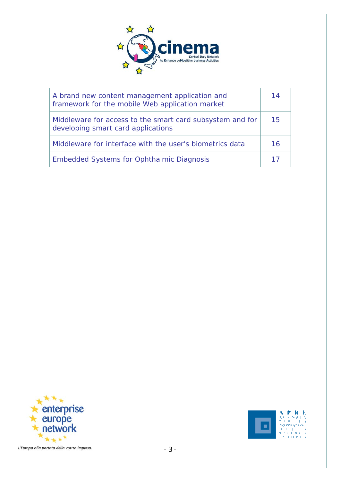

| A brand new content management application and<br>framework for the mobile Web application market | 14 |
|---------------------------------------------------------------------------------------------------|----|
| Middleware for access to the smart card subsystem and for<br>developing smart card applications   | 15 |
| Middleware for interface with the user's biometrics data                                          | 16 |
| <b>Embedded Systems for Ophthalmic Diagnosis</b>                                                  | 17 |



 $\begin{array}{l} {\bf A}\smallsetminus {\bf P}\smallsetminus {\bf R}\smallsetminus {\bf E}\\ {\bf x}\smallsetminus \{z\in {\bf x}, z\in {\bf E}\;|\;x\in {\bf E}\\ {\bf y}\smallsetminus \{z\in {\bf E}\;|\;z\in {\bf E}\\ {\bf y}\smallsetminus \{z\in {\bf E}\;|\;z\in {\bf E}\\ {\bf x}\upsetminus \{z\in {\bf E}\;|\;z\in {\bf E}\\ {\bf x}\upsetminus \{z\in {\bf E}\;|\;z\in {\bf E}\}} \end{array}$ ч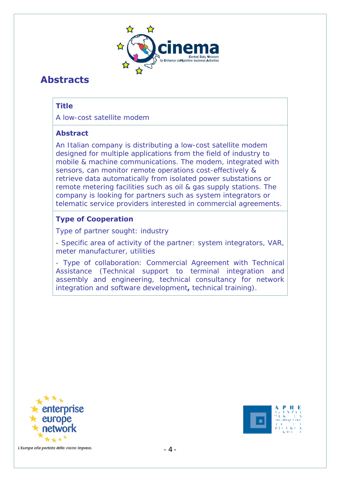

# **Abstracts**

# **Title**

A low-cost satellite modem

#### **Abstract**

An Italian company is distributing a low-cost satellite modem designed for multiple applications from the field of industry to mobile & machine communications. The modem, integrated with sensors, can monitor remote operations cost-effectively & retrieve data automatically from isolated power substations or remote metering facilities such as oil & gas supply stations. The company is looking for partners such as system integrators or telematic service providers interested in commercial agreements.

# **Type of Cooperation**

Type of partner sought: industry

- Specific area of activity of the partner: system integrators, VAR, meter manufacturer, utilities

- Type of collaboration: Commercial Agreement with Technical Assistance (Technical support to terminal integration and assembly and engineering, technical consultancy for network integration and software development**,** technical training).



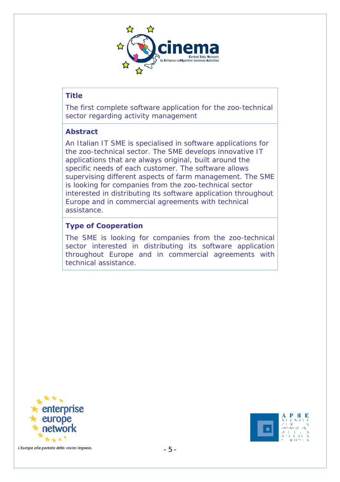

The first complete software application for the zoo-technical sector regarding activity management

#### **Abstract**

An Italian IT SME is specialised in software applications for the zoo-technical sector. The SME develops innovative IT applications that are always original, built around the specific needs of each customer. The software allows supervising different aspects of farm management. The SME is looking for companies from the zoo-technical sector interested in distributing its software application throughout Europe and in commercial agreements with technical assistance.

#### **Type of Cooperation**

The SME is looking for companies from the zoo-technical sector interested in distributing its software application throughout Europe and in commercial agreements with technical assistance.



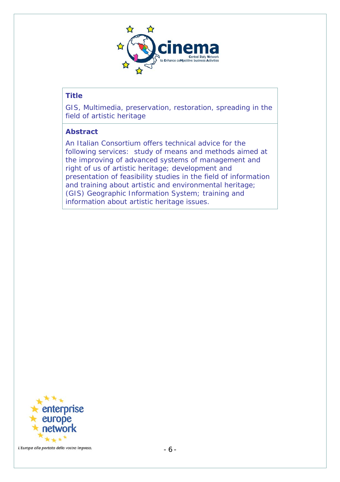

GIS, Multimedia, preservation, restoration, spreading in the field of artistic heritage

#### **Abstract**

An Italian Consortium offers technical advice for the following services: study of means and methods aimed at the improving of advanced systems of management and right of us of artistic heritage; development and presentation of feasibility studies in the field of information and training about artistic and environmental heritage; (GIS) Geographic Information System; training and information about artistic heritage issues.

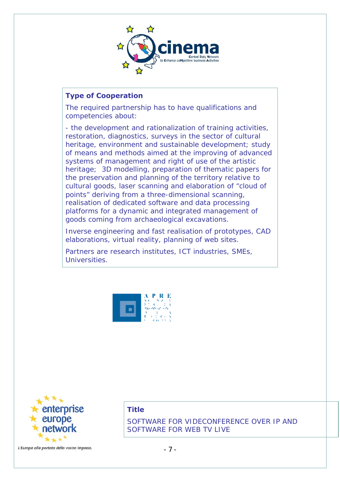

#### **Type of Cooperation**

The required partnership has to have qualifications and competencies about:

- the development and rationalization of training activities, restoration, diagnostics, surveys in the sector of cultural heritage, environment and sustainable development; study of means and methods aimed at the improving of advanced systems of management and right of use of the artistic heritage; 3D modelling, preparation of thematic papers for the preservation and planning of the territory relative to cultural goods, laser scanning and elaboration of "cloud of points" deriving from a three-dimensional scanning, realisation of dedicated software and data processing platforms for a dynamic and integrated management of goods coming from archaeological excavations.

Inverse engineering and fast realisation of prototypes, CAD elaborations, virtual reality, planning of web sites.

Partners are research institutes, ICT industries, SMEs, Universities.





L'Europa alla portata della vostra impresa.

#### **Title**

SOFTWARE FOR VIDECONFERENCE OVER IP AND SOFTWARE FOR WEB TV LIVE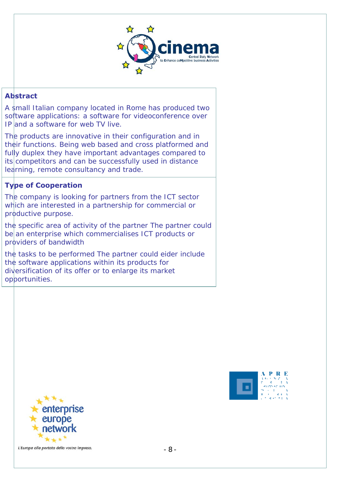

#### **Abstract**

A small Italian company located in Rome has produced two software applications: a software for videoconference over IP and a software for web TV live.

The products are innovative in their configuration and in their functions. Being web based and cross platformed and fully duplex they have important advantages compared to its competitors and can be successfully used in distance learning, remote consultancy and trade.

#### **Type of Cooperation**

The company is looking for partners from the ICT sector which are interested in a partnership for commercial or productive purpose.

the specific area of activity of the partner The partner could be an enterprise which commercialises ICT products or providers of bandwidth

the tasks to be performed The partner could eider include the software applications within its products for diversification of its offer or to enlarge its market opportunities.



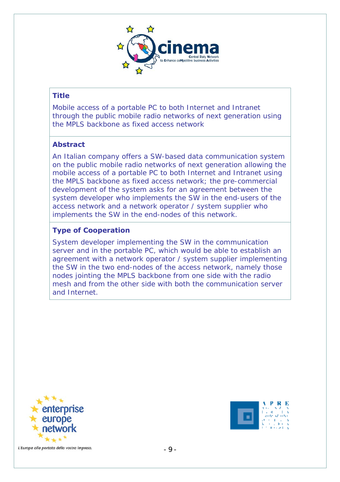

Mobile access of a portable PC to both Internet and Intranet through the public mobile radio networks of next generation using the MPLS backbone as fixed access network

#### **Abstract**

An Italian company offers a SW-based data communication system on the public mobile radio networks of next generation allowing the mobile access of a portable PC to both Internet and Intranet using the MPLS backbone as fixed access network; the pre-commercial development of the system asks for an agreement between the system developer who implements the SW in the end-users of the access network and a network operator / system supplier who implements the SW in the end-nodes of this network.

#### **Type of Cooperation**

System developer implementing the SW in the communication server and in the portable PC, which would be able to establish an agreement with a network operator / system supplier implementing the SW in the two end-nodes of the access network, namely those nodes jointing the MPLS backbone from one side with the radio mesh and from the other side with both the communication server and Internet.



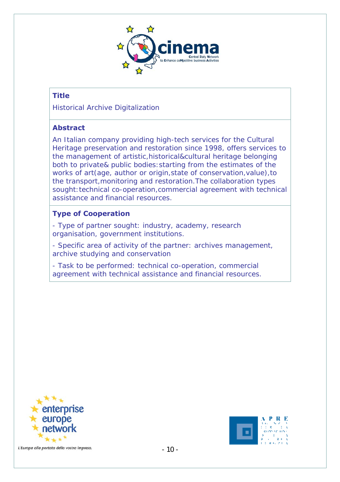

Historical Archive Digitalization

# **Abstract**

An Italian company providing high-tech services for the Cultural Heritage preservation and restoration since 1998, offers services to the management of artistic,historical&cultural heritage belonging both to private& public bodies:starting from the estimates of the works of art(age, author or origin,state of conservation,value),to the transport,monitoring and restoration.The collaboration types sought: technical co-operation, commercial agreement with technical assistance and financial resources.

#### **Type of Cooperation**

- Type of partner sought: industry, academy, research organisation, government institutions.

- Specific area of activity of the partner: archives management, archive studying and conservation

- Task to be performed: technical co-operation, commercial agreement with technical assistance and financial resources.



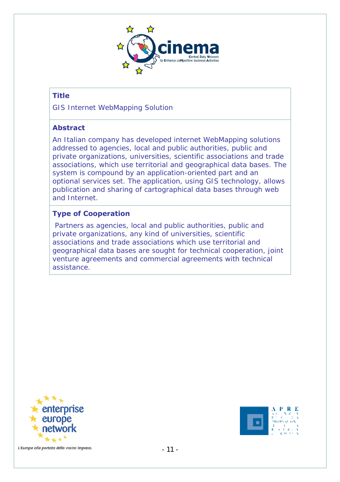

GIS Internet WebMapping Solution

# **Abstract**

An Italian company has developed internet WebMapping solutions addressed to agencies, local and public authorities, public and private organizations, universities, scientific associations and trade associations, which use territorial and geographical data bases. The system is compound by an application-oriented part and an optional services set. The application, using GIS technology, allows publication and sharing of cartographical data bases through web and Internet.

# **Type of Cooperation**

 Partners as agencies, local and public authorities, public and private organizations, any kind of universities, scientific associations and trade associations which use territorial and geographical data bases are sought for technical cooperation, joint venture agreements and commercial agreements with technical assistance.



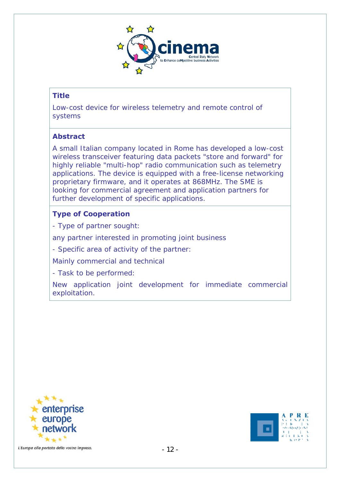

Low-cost device for wireless telemetry and remote control of systems

#### **Abstract**

A small Italian company located in Rome has developed a low-cost wireless transceiver featuring data packets "store and forward" for highly reliable "multi-hop" radio communication such as telemetry applications. The device is equipped with a free-license networking proprietary firmware, and it operates at 868MHz. The SME is looking for commercial agreement and application partners for further development of specific applications.

#### **Type of Cooperation**

- Type of partner sought:

any partner interested in promoting joint business

- Specific area of activity of the partner:

Mainly commercial and technical

- Task to be performed:

New application joint development for immediate commercial exploitation.



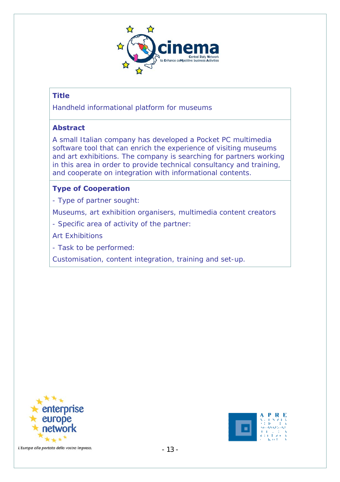

Handheld informational platform for museums

# **Abstract**

A small Italian company has developed a Pocket PC multimedia software tool that can enrich the experience of visiting museums and art exhibitions. The company is searching for partners working in this area in order to provide technical consultancy and training, and cooperate on integration with informational contents.

# **Type of Cooperation**

- Type of partner sought:

Museums, art exhibition organisers, multimedia content creators

- Specific area of activity of the partner:

Art Exhibitions

- Task to be performed:

Customisation, content integration, training and set-up.



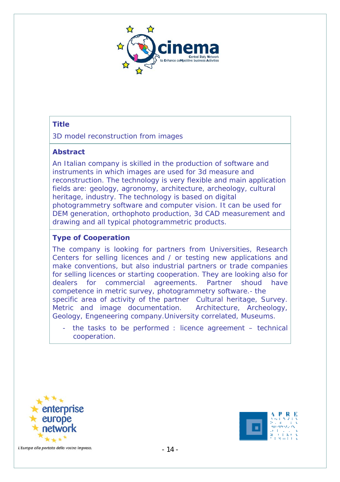

3D model reconstruction from images

#### **Abstract**

An Italian company is skilled in the production of software and instruments in which images are used for 3d measure and reconstruction. The technology is very flexible and main application fields are: geology, agronomy, architecture, archeology, cultural heritage, industry. The technology is based on digital photogrammetry software and computer vision. It can be used for DEM generation, orthophoto production, 3d CAD measurement and drawing and all typical photogrammetric products.

# **Type of Cooperation**

The company is looking for partners from Universities, Research Centers for selling licences and / or testing new applications and make conventions, but also industrial partners or trade companies for selling licences or starting cooperation. They are looking also for dealers for commercial agreements. Partner shoud have competence in metric survey, photogrammetry software.- the specific area of activity of the partner Cultural heritage, Survey. Metric and image documentation. Architecture, Archeology, Geology, Engeneering company.University correlated, Museums.

- the tasks to be performed : licence agreement – technical cooperation.



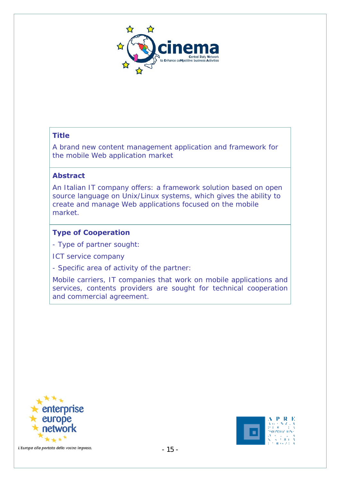

A brand new content management application and framework for the mobile Web application market

#### **Abstract**

An Italian IT company offers: a framework solution based on open source language on Unix/Linux systems, which gives the ability to create and manage Web applications focused on the mobile market.

#### **Type of Cooperation**

- Type of partner sought:

ICT service company

- Specific area of activity of the partner:

Mobile carriers, IT companies that work on mobile applications and services, contents providers are sought for technical cooperation and commercial agreement.



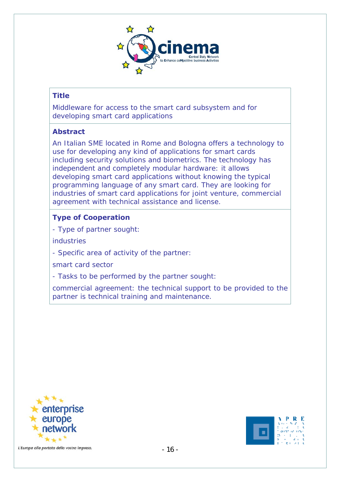

Middleware for access to the smart card subsystem and for developing smart card applications

#### **Abstract**

An Italian SME located in Rome and Bologna offers a technology to use for developing any kind of applications for smart cards including security solutions and biometrics. The technology has independent and completely modular hardware: it allows developing smart card applications without knowing the typical programming language of any smart card. They are looking for industries of smart card applications for joint venture, commercial agreement with technical assistance and license.

# **Type of Cooperation**

- Type of partner sought:

industries

- Specific area of activity of the partner:

smart card sector

- Tasks to be performed by the partner sought:

commercial agreement: the technical support to be provided to the partner is technical training and maintenance.



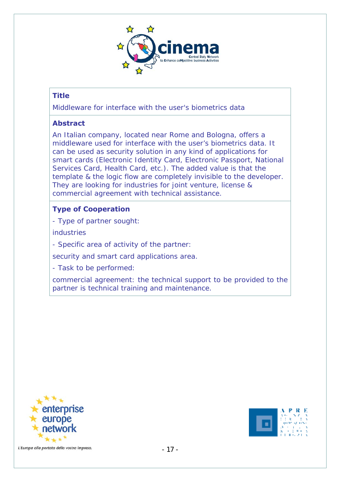

Middleware for interface with the user's biometrics data

# **Abstract**

An Italian company, located near Rome and Bologna, offers a middleware used for interface with the user's biometrics data. It can be used as security solution in any kind of applications for smart cards (Electronic Identity Card, Electronic Passport, National Services Card, Health Card, etc.). The added value is that the template & the logic flow are completely invisible to the developer. They are looking for industries for joint venture, license & commercial agreement with technical assistance.

# **Type of Cooperation**

- Type of partner sought:

industries

- Specific area of activity of the partner:

security and smart card applications area.

- Task to be performed:

commercial agreement: the technical support to be provided to the partner is technical training and maintenance.